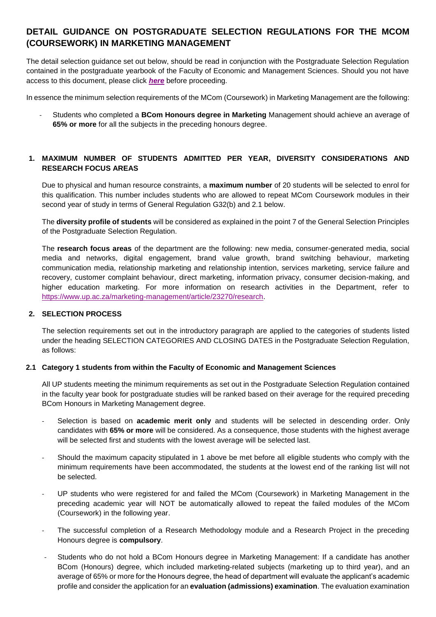# **DETAIL GUIDANCE ON POSTGRADUATE SELECTION REGULATIONS FOR THE MCOM (COURSEWORK) IN MARKETING MANAGEMENT**

The detail selection guidance set out below, should be read in conjunction with the Postgraduate Selection Regulation contained in the postgraduate yearbook of the Faculty of Economic and Management Sciences. Should you not have access to this document, please click *[here](https://www.up.ac.za/yearbooks/faculties/view/EMS/Faculty%20of%20Economic%20and%20Management%20Sciences)* before proceeding.

In essence the minimum selection requirements of the MCom (Coursework) in Marketing Management are the following:

- Students who completed a **BCom Honours degree in Marketing** Management should achieve an average of **65% or more** for all the subjects in the preceding honours degree.

## **1. MAXIMUM NUMBER OF STUDENTS ADMITTED PER YEAR, DIVERSITY CONSIDERATIONS AND RESEARCH FOCUS AREAS**

Due to physical and human resource constraints, a **maximum number** of 20 students will be selected to enrol for this qualification. This number includes students who are allowed to repeat MCom Coursework modules in their second year of study in terms of General Regulation G32(b) and 2.1 below.

The **diversity profile of students** will be considered as explained in the point 7 of the General Selection Principles of the Postgraduate Selection Regulation.

The **research focus areas** of the department are the following: new media, consumer-generated media, social media and networks, digital engagement, brand value growth, brand switching behaviour, marketing communication media, relationship marketing and relationship intention, services marketing, service failure and recovery, customer complaint behaviour, direct marketing, information privacy, consumer decision-making, and higher education marketing. For more information on research activities in the Department, refer to [https://www.up.ac.za/marketing-management/article/23270/research.](https://www.up.ac.za/marketing-management/article/23270/research)

### **2. SELECTION PROCESS**

The selection requirements set out in the introductory paragraph are applied to the categories of students listed under the heading SELECTION CATEGORIES AND CLOSING DATES in the Postgraduate Selection Regulation, as follows:

### **2.1 Category 1 students from within the Faculty of Economic and Management Sciences**

All UP students meeting the minimum requirements as set out in the Postgraduate Selection Regulation contained in the faculty year book for postgraduate studies will be ranked based on their average for the required preceding BCom Honours in Marketing Management degree.

- Selection is based on **academic merit only** and students will be selected in descending order. Only candidates with **65% or more** will be considered. As a consequence, those students with the highest average will be selected first and students with the lowest average will be selected last.
- Should the maximum capacity stipulated in 1 above be met before all eligible students who comply with the minimum requirements have been accommodated, the students at the lowest end of the ranking list will not be selected.
- UP students who were registered for and failed the MCom (Coursework) in Marketing Management in the preceding academic year will NOT be automatically allowed to repeat the failed modules of the MCom (Coursework) in the following year.
- The successful completion of a Research Methodology module and a Research Project in the preceding Honours degree is **compulsory**.
- Students who do not hold a BCom Honours degree in Marketing Management: If a candidate has another BCom (Honours) degree, which included marketing-related subjects (marketing up to third year), and an average of 65% or more for the Honours degree, the head of department will evaluate the applicant's academic profile and consider the application for an **evaluation (admissions) examination**. The evaluation examination